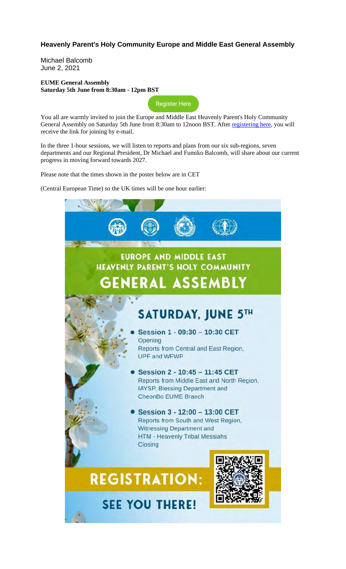## **Heavenly Parent's Holy Community Europe and Middle East General Assembly**

Michael Balcomb June 2, 2021

### **EUME General Assembly Saturday 5th June from 8:30am - 12pm BST**

Register Here

You all are warmly invited to join the Europe and Middle East Heavenly Parent's Holy Community General Assembly on Saturday 5th June from 8:30am to 12noon BST. After registering here, you will receive the link for joining by e-mail.

In the three 1-hour sessions, we will listen to reports and plans from our six sub-regions, seven departments and our Regional President, Dr Michael and Fumiko Balcomb, will share about our current progress in moving forward towards 2027.

Please note that the times shown in the poster below are in CET

(Central European Time) so the UK times will be one hour earlier:

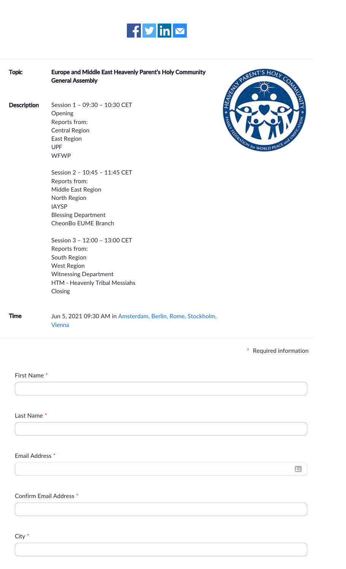

| <b>Topic</b>               | Europe and Middle East Heavenly Parent's Holy Community<br><b>General Assembly</b>                                                                                | N PARENT'S HOLY COM          |
|----------------------------|-------------------------------------------------------------------------------------------------------------------------------------------------------------------|------------------------------|
| <b>Description</b>         | Session 1 - 09:30 - 10:30 CET<br>Opening<br>Reports from:<br><b>Central Region</b><br>East Region<br><b>UPF</b><br><b>WFWP</b>                                    | <b>EDITATION FOR WORLD P</b> |
|                            | Session 2 - 10:45 - 11:45 CET<br>Reports from:<br>Middle East Region<br>North Region<br><b>IAYSP</b><br><b>Blessing Department</b><br>CheonBo EUME Branch         |                              |
|                            | Session 3 - 12:00 - 13:00 CET<br>Reports from:<br>South Region<br><b>West Region</b><br><b>Witnessing Department</b><br>HTM - Heavenly Tribal Messiahs<br>Closing |                              |
| <b>Time</b>                | Jun 5, 2021 09:30 AM in Amsterdam, Berlin, Rome, Stockholm,<br><b>Vienna</b>                                                                                      |                              |
|                            |                                                                                                                                                                   | * Required information       |
| First Name*                |                                                                                                                                                                   |                              |
| Last Name*                 |                                                                                                                                                                   |                              |
| Email Address <sup>*</sup> |                                                                                                                                                                   |                              |
|                            |                                                                                                                                                                   |                              |

# Confirm Email Address *\**

City *\**